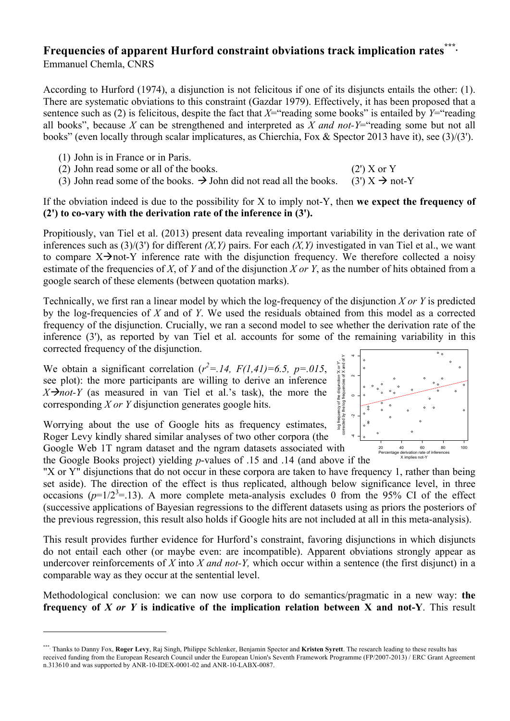## **Frequencies of apparent Hurford constraint obviations track implication rates<sup>\*\*</sup>** Emmanuel Chemla, CNRS

According to Hurford (1974), a disjunction is not felicitous if one of its disjuncts entails the other: (1). There are systematic obviations to this constraint (Gazdar 1979). Effectively, it has been proposed that a sentence such as (2) is felicitous, despite the fact that  $X=$ "reading some books" is entailed by  $Y=$ "reading all books", because *X* can be strengthened and interpreted as *X and not-Y*="reading some but not all books" (even locally through scalar implicatures, as Chierchia, Fox & Spector 2013 have it), see (3)/(3').

(1) John is in France or in Paris.

 

- (2) John read some or all of the books. (2') X or Y
	- (3) John read some of the books.  $\rightarrow$  John did not read all the books. (3')  $X \rightarrow$  not-Y

If the obviation indeed is due to the possibility for X to imply not-Y, then **we expect the frequency of (2') to co-vary with the derivation rate of the inference in (3').**

Propitiously, van Tiel et al. (2013) present data revealing important variability in the derivation rate of inferences such as (3)/(3') for different *(X,Y)* pairs. For each *(X,Y)* investigated in van Tiel et al., we want to compare  $X \rightarrow not-Y$  inference rate with the disjunction frequency. We therefore collected a noisy estimate of the frequencies of *X*, of *Y* and of the disjunction *X or Y*, as the number of hits obtained from a google search of these elements (between quotation marks).

Technically, we first ran a linear model by which the log-frequency of the disjunction *X or Y* is predicted by the log-frequencies of *X* and of *Y*. We used the residuals obtained from this model as a corrected frequency of the disjunction. Crucially, we ran a second model to see whether the derivation rate of the inference (3'), as reported by van Tiel et al. accounts for some of the remaining variability in this corrected frequency of the disjunction.

We obtain a significant correlation  $(r^2 = .14, F(1,41)=6.5, p=0.015,$ see plot): the more participants are willing to derive an inference  $X \rightarrow not-Y$  (as measured in van Tiel et al.'s task), the more the corresponding *X or Y* disjunction generates google hits.

Worrying about the use of Google hits as frequency estimates, Roger Levy kindly shared similar analyses of two other corpora (the Google Web 1T ngram dataset and the ngram datasets associated with



 $\overline{a}$ 

the Google Books project) yielding *p*-values of .15 and .14 (and above if the

"X or Y" disjunctions that do not occur in these corpora are taken to have frequency 1, rather than being set aside). The direction of the effect is thus replicated, although below significance level, in three occasions  $(p=1/2^3=13)$ . A more complete meta-analysis excludes 0 from the 95% CI of the effect (successive applications of Bayesian regressions to the different datasets using as priors the posteriors of the previous regression, this result also holds if Google hits are not included at all in this meta-analysis).

This result provides further evidence for Hurford's constraint, favoring disjunctions in which disjuncts do not entail each other (or maybe even: are incompatible). Apparent obviations strongly appear as undercover reinforcements of *X* into *X and not-Y,* which occur within a sentence (the first disjunct) in a comparable way as they occur at the sentential level.

Methodological conclusion: we can now use corpora to do semantics/pragmatic in a new way: **the frequency of** *X or Y* **is indicative of the implication relation between X and not-Y**. This result

<sup>\*\*\*</sup><sup>∗</sup> Thanks to Danny Fox, **Roger Levy**, Raj Singh, Philippe Schlenker, Benjamin Spector and **Kristen Syrett**. The research leading to these results has received funding from the European Research Council under the European Union's Seventh Framework Programme (FP/2007-2013) / ERC Grant Agreement n.313610 and was supported by ANR-10-IDEX-0001-02 and ANR-10-LABX-0087.